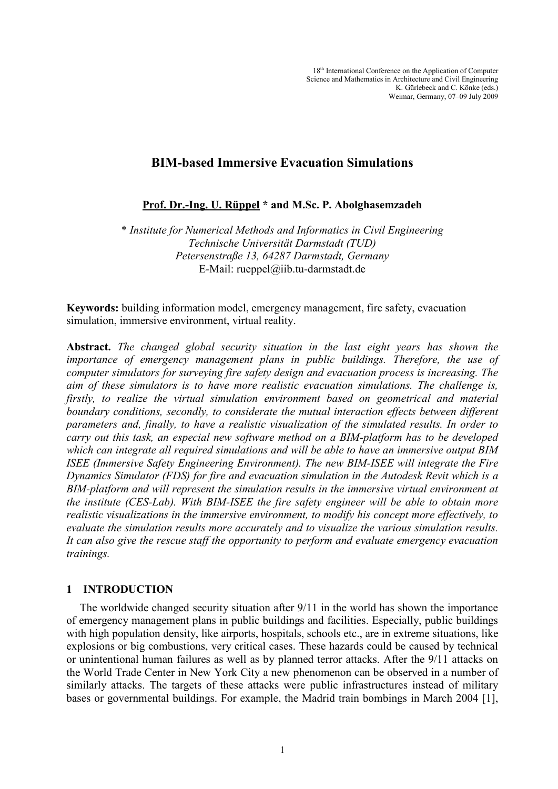# **BIM-based Immersive Evacuation Simulations**

**Prof. Dr.-Ing. U. Rüppel \* and M.Sc. P. Abolghasemzadeh**

\* *Institute for Numerical Methods and Informatics in Civil Engineering Technische Universität Darmstadt (TUD) Petersenstraße 13, 64287 Darmstadt, Germany* E-Mail: rueppel@iib.tu-darmstadt.de

**Keywords:** building information model, emergency management, fire safety, evacuation simulation, immersive environment, virtual reality.

**Abstract.** *The changed global security situation in the last eight years has shown the importance of emergency management plans in public buildings. Therefore, the use of computer simulators for surveying fire safety design and evacuation process is increasing. The aim of these simulators is to have more realistic evacuation simulations. The challenge is, firstly, to realize the virtual simulation environment based on geometrical and material boundary conditions, secondly, to considerate the mutual interaction effects between different parameters and, finally, to have a realistic visualization of the simulated results. In order to carry out this task, an especial new software method on a BIM-platform has to be developed which can integrate all required simulations and will be able to have an immersive output BIM ISEE (Immersive Safety Engineering Environment). The new BIM-ISEE will integrate the Fire Dynamics Simulator (FDS) for fire and evacuation simulation in the Autodesk Revit which is a BIM-platform and will represent the simulation results in the immersive virtual environment at the institute (CES-Lab). With BIM-ISEE the fire safety engineer will be able to obtain more realistic visualizations in the immersive environment, to modify his concept more effectively, to evaluate the simulation results more accurately and to visualize the various simulation results. It can also give the rescue staff the opportunity to perform and evaluate emergency evacuation trainings.*

## **1 INTRODUCTION**

The worldwide changed security situation after 9/11 in the world has shown the importance of emergency management plans in public buildings and facilities. Especially, public buildings with high population density, like airports, hospitals, schools etc., are in extreme situations, like explosions or big combustions, very critical cases. These hazards could be caused by technical or unintentional human failures as well as by planned terror attacks. After the 9/11 attacks on the World Trade Center in New York City a new phenomenon can be observed in a number of similarly attacks. The targets of these attacks were public infrastructures instead of military bases or governmental buildings. For example, the Madrid train bombings in March 2004 [\[1\],](#page-7-0)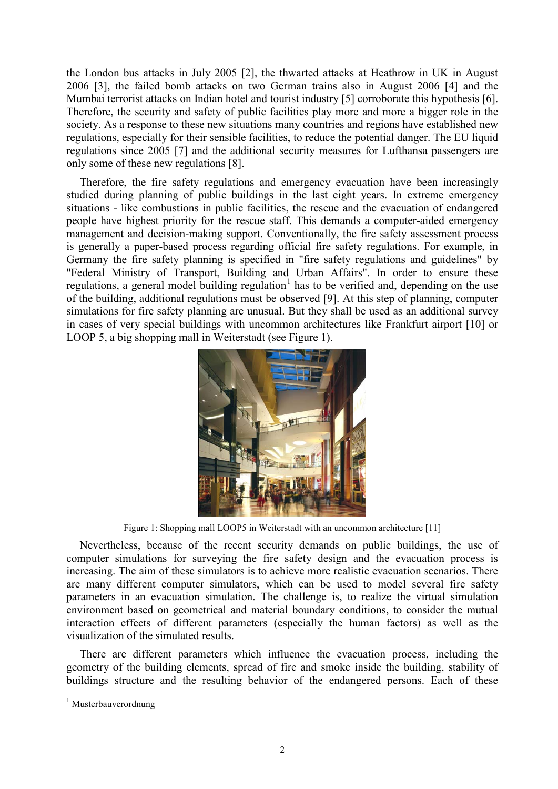the London bus attacks in July 2005 [\[2\],](#page-7-1) the thwarted attacks at Heathrow in UK in August 2006 [\[3\],](#page-7-2) the failed bomb attacks on two German trains also in August 2006 [\[4\]](#page-7-3) and the Mumbai terrorist attacks on Indian hotel and tourist industry [\[5\]](#page-7-4) corroborate this hypothesis [\[6\].](#page-7-5) Therefore, the security and safety of public facilities play more and more a bigger role in the society. As a response to these new situations many countries and regions have established new regulations, especially for their sensible facilities, to reduce the potential danger. The EU liquid regulations since 2005 [\[7\]](#page-7-6) and the additional security measures for Lufthansa passengers are only some of these new regulations [\[8\].](#page-7-7)

Therefore, the fire safety regulations and emergency evacuation have been increasingly studied during planning of public buildings in the last eight years. In extreme emergency situations - like combustions in public facilities, the rescue and the evacuation of endangered people have highest priority for the rescue staff. This demands a computer-aided emergency management and decision-making support. Conventionally, the fire safety assessment process is generally a paper-based process regarding official fire safety regulations. For example, in Germany the fire safety planning is specified in "fire safety regulations and guidelines" by "Federal Ministry of Transport, Building and Urban Affairs". In order to ensure these regulations, a general model building regulation<sup>[1](#page-1-1)</sup> has to be verified and, depending on the use of the building, additional regulations must be observed [9]. At this step of planning, computer simulations for fire safety planning are unusual. But they shall be used as an additional survey in cases of very special buildings with uncommon architectures like Frankfurt airport [\[10\]](#page-8-1) or LOOP 5, a big shopping mall in Weiterstadt (see [Figure 1\)](#page-1-0).



Figure 1: Shopping mall LOOP5 in Weiterstadt with an uncommon architecture [\[11\]](#page-8-2)

<span id="page-1-0"></span>Nevertheless, because of the recent security demands on public buildings, the use of computer simulations for surveying the fire safety design and the evacuation process is increasing. The aim of these simulators is to achieve more realistic evacuation scenarios. There are many different computer simulators, which can be used to model several fire safety parameters in an evacuation simulation. The challenge is, to realize the virtual simulation environment based on geometrical and material boundary conditions, to consider the mutual interaction effects of different parameters (especially the human factors) as well as the visualization of the simulated results.

There are different parameters which influence the evacuation process, including the geometry of the building elements, spread of fire and smoke inside the building, stability of buildings structure and the resulting behavior of the endangered persons. Each of these

<span id="page-1-1"></span><sup>&</sup>lt;sup>1</sup> Musterbauverordnung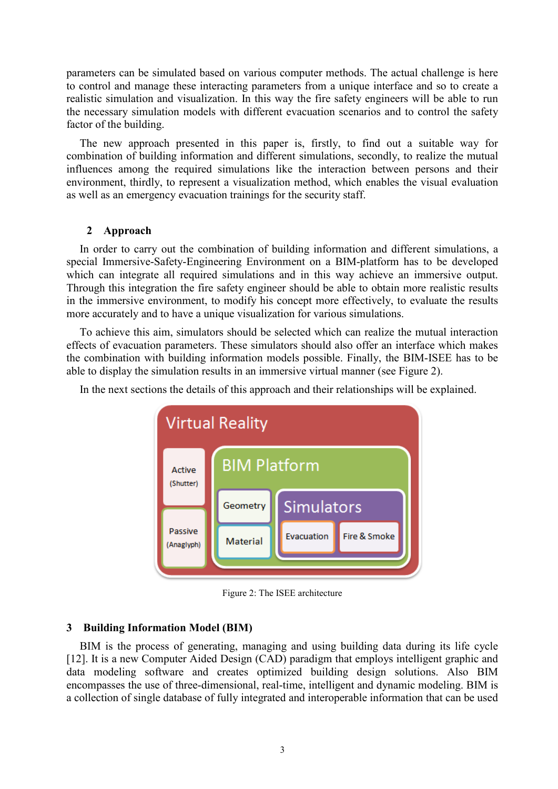parameters can be simulated based on various computer methods. The actual challenge is here to control and manage these interacting parameters from a unique interface and so to create a realistic simulation and visualization. In this way the fire safety engineers will be able to run the necessary simulation models with different evacuation scenarios and to control the safety factor of the building.

The new approach presented in this paper is, firstly, to find out a suitable way for combination of building information and different simulations, secondly, to realize the mutual influences among the required simulations like the interaction between persons and their environment, thirdly, to represent a visualization method, which enables the visual evaluation as well as an emergency evacuation trainings for the security staff.

## **2 Approach**

In order to carry out the combination of building information and different simulations, a special Immersive-Safety-Engineering Environment on a BIM-platform has to be developed which can integrate all required simulations and in this way achieve an immersive output. Through this integration the fire safety engineer should be able to obtain more realistic results in the immersive environment, to modify his concept more effectively, to evaluate the results more accurately and to have a unique visualization for various simulations.

To achieve this aim, simulators should be selected which can realize the mutual interaction effects of evacuation parameters. These simulators should also offer an interface which makes the combination with building information models possible. Finally, the BIM-ISEE has to be able to display the simulation results in an immersive virtual manner (see [Figure 2\)](#page-2-0).



In the next sections the details of this approach and their relationships will be explained.

Figure 2: The ISEE architecture

## <span id="page-2-0"></span>**3 Building Information Model (BIM)**

BIM is the process of generating, managing and using building data during its life cycle [\[12\].](#page-8-3) It is a new Computer Aided Design (CAD) paradigm that employs intelligent graphic and data modeling software and creates optimized building design solutions. Also BIM encompasses the use of three-dimensional, real-time, intelligent and dynamic modeling. BIM is a collection of single database of fully integrated and interoperable information that can be used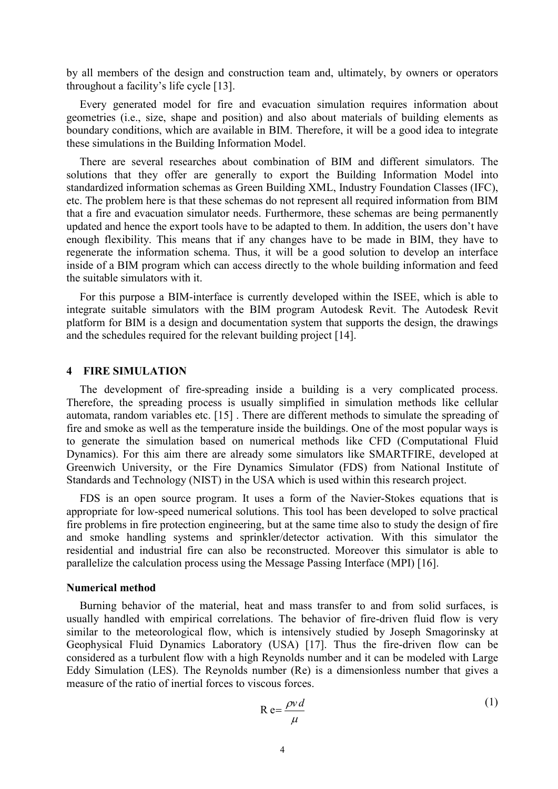by all members of the design and construction team and, ultimately, by owners or operators throughout a facility's life cycle [\[13\].](#page-8-4)

Every generated model for fire and evacuation simulation requires information about geometries (i.e., size, shape and position) and also about materials of building elements as boundary conditions, which are available in BIM. Therefore, it will be a good idea to integrate these simulations in the Building Information Model.

There are several researches about combination of BIM and different simulators. The solutions that they offer are generally to export the Building Information Model into standardized information schemas as Green Building XML, Industry Foundation Classes (IFC), etc. The problem here is that these schemas do not represent all required information from BIM that a fire and evacuation simulator needs. Furthermore, these schemas are being permanently updated and hence the export tools have to be adapted to them. In addition, the users don't have enough flexibility. This means that if any changes have to be made in BIM, they have to regenerate the information schema. Thus, it will be a good solution to develop an interface inside of a BIM program which can access directly to the whole building information and feed the suitable simulators with it.

For this purpose a BIM-interface is currently developed within the ISEE, which is able to integrate suitable simulators with the BIM program Autodesk Revit. The Autodesk Revit platform for BIM is a design and documentation system that supports the design, the drawings and the schedules required for the relevant building project [\[14\].](#page-8-5)

#### **4 FIRE SIMULATION**

The development of fire-spreading inside a building is a very complicated process. Therefore, the spreading process is usually simplified in simulation methods like cellular automata, random variables etc. [\[15\] .](#page-8-6) There are different methods to simulate the spreading of fire and smoke as well as the temperature inside the buildings. One of the most popular ways is to generate the simulation based on numerical methods like CFD (Computational Fluid Dynamics). For this aim there are already some simulators like SMARTFIRE, developed at Greenwich University, or the Fire Dynamics Simulator (FDS) from National Institute of Standards and Technology (NIST) in the USA which is used within this research project.

FDS is an open source program. It uses a form of the Navier-Stokes equations that is appropriate for low-speed numerical solutions. This tool has been developed to solve practical fire problems in fire protection engineering, but at the same time also to study the design of fire and smoke handling systems and sprinkler/detector activation. With this simulator the residential and industrial fire can also be reconstructed. Moreover this simulator is able to parallelize the calculation process using the Message Passing Interface (MPI) [\[16\].](#page-8-7)

#### **Numerical method**

Burning behavior of the material, heat and mass transfer to and from solid surfaces, is usually handled with empirical correlations. The behavior of fire-driven fluid flow is very similar to the meteorological flow, which is intensively studied by Joseph Smagorinsky at Geophysical Fluid Dynamics Laboratory (USA) [\[17\].](#page-8-8) Thus the fire-driven flow can be considered as a turbulent flow with a high Reynolds number and it can be modeled with Large Eddy Simulation (LES). The Reynolds number (Re) is a dimensionless number that gives a measure of the ratio of inertial forces to viscous forces.

$$
R e = \frac{\rho v d}{\mu} \tag{1}
$$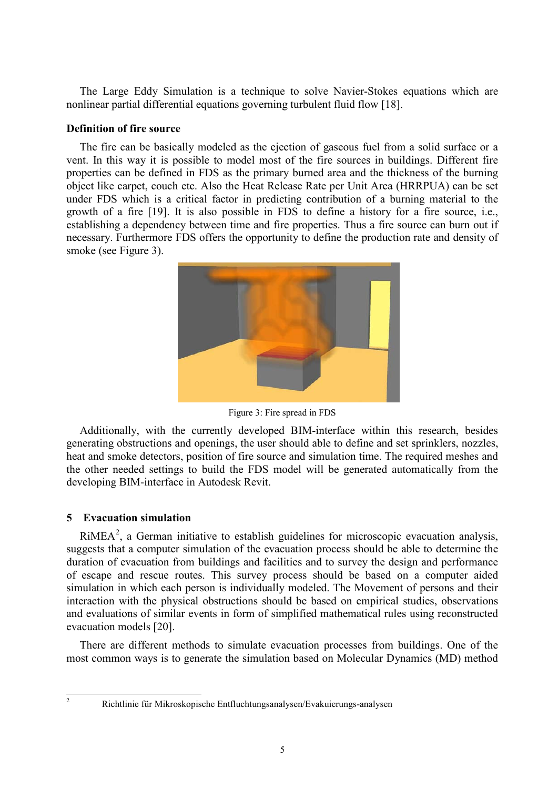The Large Eddy Simulation is a technique to solve Navier-Stokes equations which are nonlinear partial differential equations governing turbulent fluid flow [\[18\].](#page-8-9)

## **Definition of fire source**

The fire can be basically modeled as the ejection of gaseous fuel from a solid surface or a vent. In this way it is possible to model most of the fire sources in buildings. Different fire properties can be defined in FDS as the primary burned area and the thickness of the burning object like carpet, couch etc. Also the Heat Release Rate per Unit Area (HRRPUA) can be set under FDS which is a critical factor in predicting contribution of a burning material to the growth of a fire [\[19\].](#page-8-10) It is also possible in FDS to define a history for a fire source, i.e., establishing a dependency between time and fire properties. Thus a fire source can burn out if necessary. Furthermore FDS offers the opportunity to define the production rate and density of smoke (see [Figure 3\)](#page-4-0).



Figure 3: Fire spread in FDS

<span id="page-4-0"></span>Additionally, with the currently developed BIM-interface within this research, besides generating obstructions and openings, the user should able to define and set sprinklers, nozzles, heat and smoke detectors, position of fire source and simulation time. The required meshes and the other needed settings to build the FDS model will be generated automatically from the developing BIM-interface in Autodesk Revit.

## **5 Evacuation simulation**

 $RiMEA<sup>2</sup>$  $RiMEA<sup>2</sup>$  $RiMEA<sup>2</sup>$ , a German initiative to establish guidelines for microscopic evacuation analysis, evacuation models [20]. suggests that a computer simulation of the evacuation process should be able to determine the duration of evacuation from buildings and facilities and to survey the design and performance of escape and rescue routes. This survey process should be based on a computer aided simulation in which each person is individually modeled. The Movement of persons and their interaction with the physical obstructions should be based on empirical studies, observations and evaluations of similar events in form of simplified mathematical rules using reconstructed

There are different methods to simulate evacuation processes from buildings. One of the most common ways is to generate the simulation based on Molecular Dynamics (MD) method

<span id="page-4-1"></span> <sup>2</sup> Richtlinie für Mikroskopische Entfluchtungsanalysen/Evakuierungs-analysen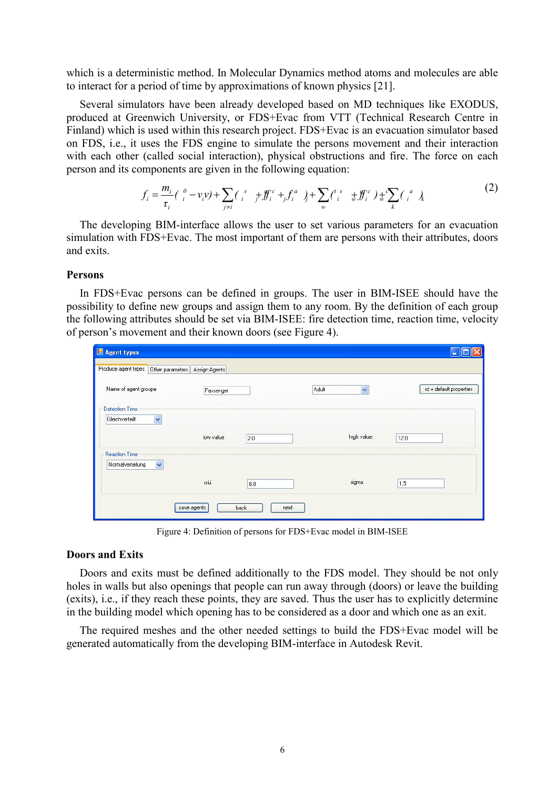which is a deterministic method. In Molecular Dynamics method atoms and molecules are able to interact for a period of time by approximations of known physics [\[21\].](#page-8-12)

Several simulators have been already developed based on MD techniques like EXODUS, produced at Greenwich University, or FDS+Evac from VTT (Technical Research Centre in Finland) which is used within this research project. FDS+Evac is an evacuation simulator based on FDS, i.e., it uses the FDS engine to simulate the persons movement and their interaction with each other (called social interaction), physical obstructions and fire. The force on each person and its components are given in the following equation:

$$
f_i = \frac{m_i}{\tau_i} \left( \frac{0}{i} - \nu_i \nu \right) + \sum_{j \neq i} \left( \frac{s}{i} + \frac{v}{i} \frac{v}{j} + \frac{v}{j} \frac{v}{j} + \sum_w \left( \frac{s}{i} + \frac{v}{w} \frac{v}{j} \right) + \sum_k \left( \frac{v}{i} + \frac{v}{w} \frac{v}{j} \right) \right)
$$
 (2)

 $(2)$ 

The developing BIM-interface allows the user to set various parameters for an evacuation simulation with FDS+Evac. The most important of them are persons with their attributes, doors and exits.

#### **Persons**

In FDS+Evac persons can be defined in groups. The user in BIM-ISEE should have the possibility to define new groups and assign them to any room. By the definition of each group the following attributes should be set via BIM-ISEE: fire detection time, reaction time, velocity of person's movement and their known doors (see [Figure 4\)](#page-5-0).

| Passenger |                                               | Adult | $\checkmark$ | $id + default properties$ |
|-----------|-----------------------------------------------|-------|--------------|---------------------------|
|           |                                               |       |              |                           |
| low value | 2.0                                           |       | high value:  | 12.0                      |
|           |                                               |       |              |                           |
| mü        | 8.0                                           |       | sigma        | 1.5                       |
|           |                                               |       |              |                           |
|           | Other parameters Assign Agents<br>save agents | back  | next         |                           |

Figure 4: Definition of persons for FDS+Evac model in BIM-ISEE

#### <span id="page-5-0"></span>**Doors and Exits**

Doors and exits must be defined additionally to the FDS model. They should be not only holes in walls but also openings that people can run away through (doors) or leave the building (exits), i.e., if they reach these points, they are saved. Thus the user has to explicitly determine in the building model which opening has to be considered as a door and which one as an exit.

The required meshes and the other needed settings to build the FDS+Evac model will be generated automatically from the developing BIM-interface in Autodesk Revit.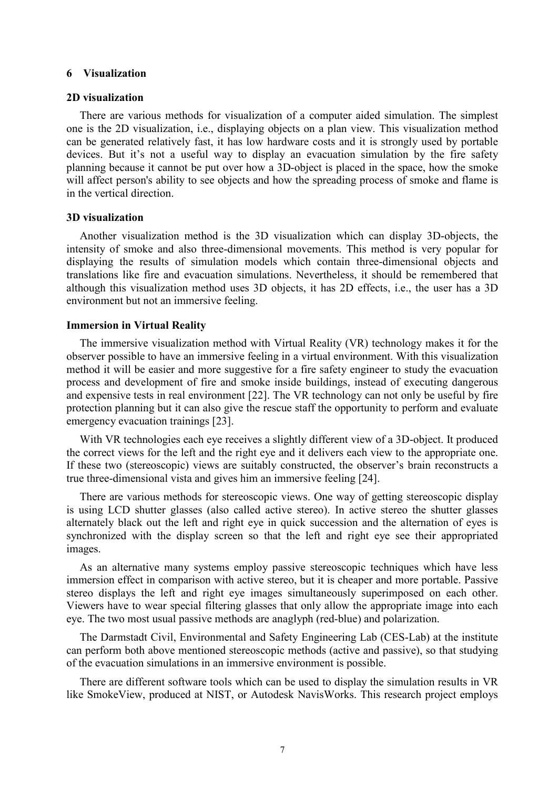#### **6 Visualization**

#### **2D visualization**

There are various methods for visualization of a computer aided simulation. The simplest one is the 2D visualization, i.e., displaying objects on a plan view. This visualization method can be generated relatively fast, it has low hardware costs and it is strongly used by portable devices. But it's not a useful way to display an evacuation simulation by the fire safety planning because it cannot be put over how a 3D-object is placed in the space, how the smoke will affect person's ability to see objects and how the spreading process of smoke and flame is in the vertical direction.

#### **3D visualization**

Another visualization method is the 3D visualization which can display 3D-objects, the intensity of smoke and also three-dimensional movements. This method is very popular for displaying the results of simulation models which contain three-dimensional objects and translations like fire and evacuation simulations. Nevertheless, it should be remembered that although this visualization method uses 3D objects, it has 2D effects, i.e., the user has a 3D environment but not an immersive feeling.

### **Immersion in Virtual Reality**

The immersive visualization method with Virtual Reality (VR) technology makes it for the observer possible to have an immersive feeling in a virtual environment. With this visualization method it will be easier and more suggestive for a fire safety engineer to study the evacuation process and development of fire and smoke inside buildings, instead of executing dangerous and expensive tests in real environment [\[22\].](#page-8-13) The VR technology can not only be useful by fire protection planning but it can also give the rescue staff the opportunity to perform and evaluate emergency evacuation trainings [\[23\].](#page-8-14)

With VR technologies each eye receives a slightly different view of a 3D-object. It produced the correct views for the left and the right eye and it delivers each view to the appropriate one. If these two (stereoscopic) views are suitably constructed, the observer's brain reconstructs a true three-dimensional vista and gives him an immersive feeling [\[24\].](#page-8-15)

There are various methods for stereoscopic views. One way of getting stereoscopic display is using LCD shutter glasses (also called active stereo). In active stereo the shutter glasses alternately black out the left and right eye in quick succession and the alternation of eyes is synchronized with the display screen so that the left and right eye see their appropriated images.

As an alternative many systems employ passive stereoscopic techniques which have less immersion effect in comparison with active stereo, but it is cheaper and more portable. Passive stereo displays the left and right eye images simultaneously superimposed on each other. Viewers have to wear special filtering glasses that only allow the appropriate image into each eye. The two most usual passive methods are anaglyph (red-blue) and polarization.

The Darmstadt Civil, Environmental and Safety Engineering Lab (CES-Lab) at the institute can perform both above mentioned stereoscopic methods (active and passive), so that studying of the evacuation simulations in an immersive environment is possible.

There are different software tools which can be used to display the simulation results in VR like SmokeView, produced at NIST, or Autodesk NavisWorks. This research project employs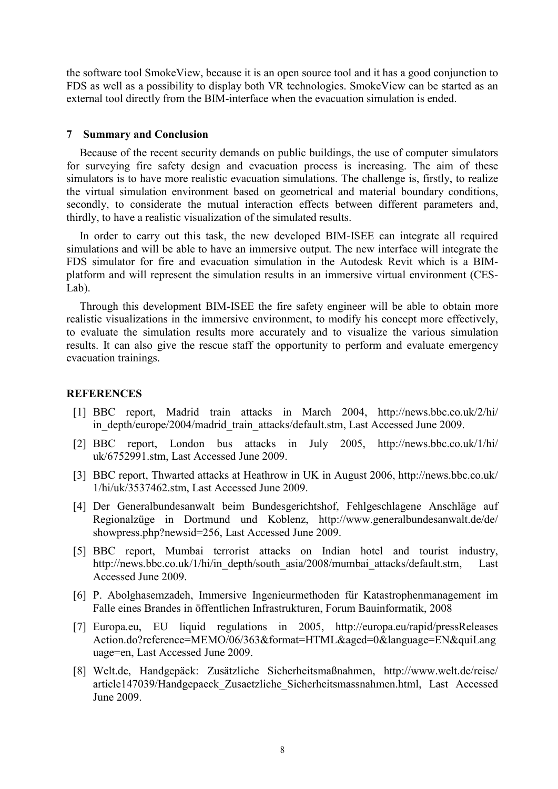the software tool SmokeView, because it is an open source tool and it has a good conjunction to FDS as well as a possibility to display both VR technologies. SmokeView can be started as an external tool directly from the BIM-interface when the evacuation simulation is ended.

#### **7 Summary and Conclusion**

Because of the recent security demands on public buildings, the use of computer simulators for surveying fire safety design and evacuation process is increasing. The aim of these simulators is to have more realistic evacuation simulations. The challenge is, firstly, to realize the virtual simulation environment based on geometrical and material boundary conditions, secondly, to considerate the mutual interaction effects between different parameters and, thirdly, to have a realistic visualization of the simulated results.

In order to carry out this task, the new developed BIM-ISEE can integrate all required simulations and will be able to have an immersive output. The new interface will integrate the FDS simulator for fire and evacuation simulation in the Autodesk Revit which is a BIMplatform and will represent the simulation results in an immersive virtual environment (CES-Lab).

Through this development BIM-ISEE the fire safety engineer will be able to obtain more realistic visualizations in the immersive environment, to modify his concept more effectively, to evaluate the simulation results more accurately and to visualize the various simulation results. It can also give the rescue staff the opportunity to perform and evaluate emergency evacuation trainings.

#### <span id="page-7-0"></span>**REFERENCES**

- [1] BBC report, Madrid train attacks in March 2004, http://news.bbc.co.uk/2/hi/ in\_depth/europe/2004/madrid\_train\_attacks/default.stm, Last Accessed June 2009.
- <span id="page-7-1"></span>[2] BBC report, London bus attacks in July 2005, http://news.bbc.co.uk/1/hi/ uk/6752991.stm, Last Accessed June 2009.
- <span id="page-7-2"></span>[3] BBC report, Thwarted attacks at Heathrow in UK in August 2006, http://news.bbc.co.uk/ 1/hi/uk/3537462.stm, Last Accessed June 2009.
- <span id="page-7-3"></span>[4] Der Generalbundesanwalt beim Bundesgerichtshof, Fehlgeschlagene Anschläge auf Regionalzüge in Dortmund und Koblenz, http://www.generalbundesanwalt.de/de/ showpress.php?newsid=256, Last Accessed June 2009.
- <span id="page-7-4"></span>[5] BBC report, Mumbai terrorist attacks on Indian hotel and tourist industry, http://news.bbc.co.uk/1/hi/in\_depth/south\_asia/2008/mumbai\_attacks/default.stm, Last Accessed June 2009.
- <span id="page-7-5"></span>[6] P. Abolghasemzadeh, Immersive Ingenieurmethoden für Katastrophenmanagement im Falle eines Brandes in öffentlichen Infrastrukturen, Forum Bauinformatik, 2008
- <span id="page-7-6"></span>[7] Europa.eu, EU liquid regulations in 2005, http://europa.eu/rapid/pressReleases Action.do?reference=MEMO/06/363&format=HTML&aged=0&language=EN&quiLang uage=en, Last Accessed June 2009.
- <span id="page-7-7"></span>[8] Welt.de, Handgepäck: Zusätzliche Sicherheitsmaßnahmen, http://www.welt.de/reise/ article147039/Handgepaeck\_Zusaetzliche\_Sicherheitsmassnahmen.html, Last Accessed June 2009.